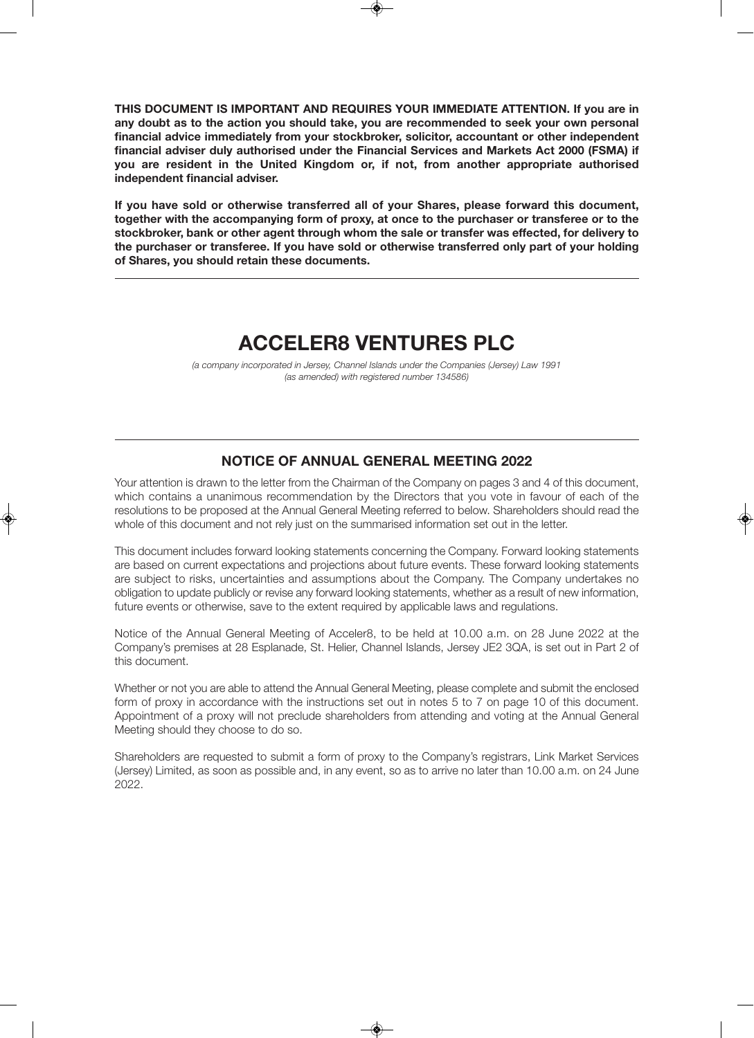**THIS DOCUMENT IS IMPORTANT AND REQUIRES YOUR IMMEDIATE ATTENTION. If you are in any doubt as to the action you should take, you are recommended to seek your own personal financial advice immediately from your stockbroker, solicitor, accountant or other independent financial adviser duly authorised under the Financial Services and Markets Act 2000 (FSMA) if you are resident in the United Kingdom or, if not, from another appropriate authorised independent financial adviser.** 

**If you have sold or otherwise transferred all of your Shares, please forward this document, together with the accompanying form of proxy, at once to the purchaser or transferee or to the stockbroker, bank or other agent through whom the sale or transfer was effected, for delivery to the purchaser or transferee. If you have sold or otherwise transferred only part of your holding of Shares, you should retain these documents.**

# **ACCELER8 VENTURES PLC**

(a company incorporated in Jersey, Channel Islands under the Companies (Jersey) Law 1991 (as amended) with registered number 134586)

## **NOTICE OF ANNUAL GENERAL MEETING 2022**

Your attention is drawn to the letter from the Chairman of the Company on pages 3 and 4 of this document, which contains a unanimous recommendation by the Directors that you vote in favour of each of the resolutions to be proposed at the Annual General Meeting referred to below. Shareholders should read the whole of this document and not rely just on the summarised information set out in the letter.

This document includes forward looking statements concerning the Company. Forward looking statements are based on current expectations and projections about future events. These forward looking statements are subject to risks, uncertainties and assumptions about the Company. The Company undertakes no obligation to update publicly or revise any forward looking statements, whether as a result of new information, future events or otherwise, save to the extent required by applicable laws and regulations.

Notice of the Annual General Meeting of Acceler8, to be held at 10.00 a.m. on 28 June 2022 at the Company's premises at 28 Esplanade, St. Helier, Channel Islands, Jersey JE2 3QA, is set out in Part 2 of this document.

Whether or not you are able to attend the Annual General Meeting, please complete and submit the enclosed form of proxy in accordance with the instructions set out in notes 5 to 7 on page 10 of this document. Appointment of a proxy will not preclude shareholders from attending and voting at the Annual General Meeting should they choose to do so.

Shareholders are requested to submit a form of proxy to the Company's registrars, Link Market Services (Jersey) Limited, as soon as possible and, in any event, so as to arrive no later than 10.00 a.m. on 24 June 2022.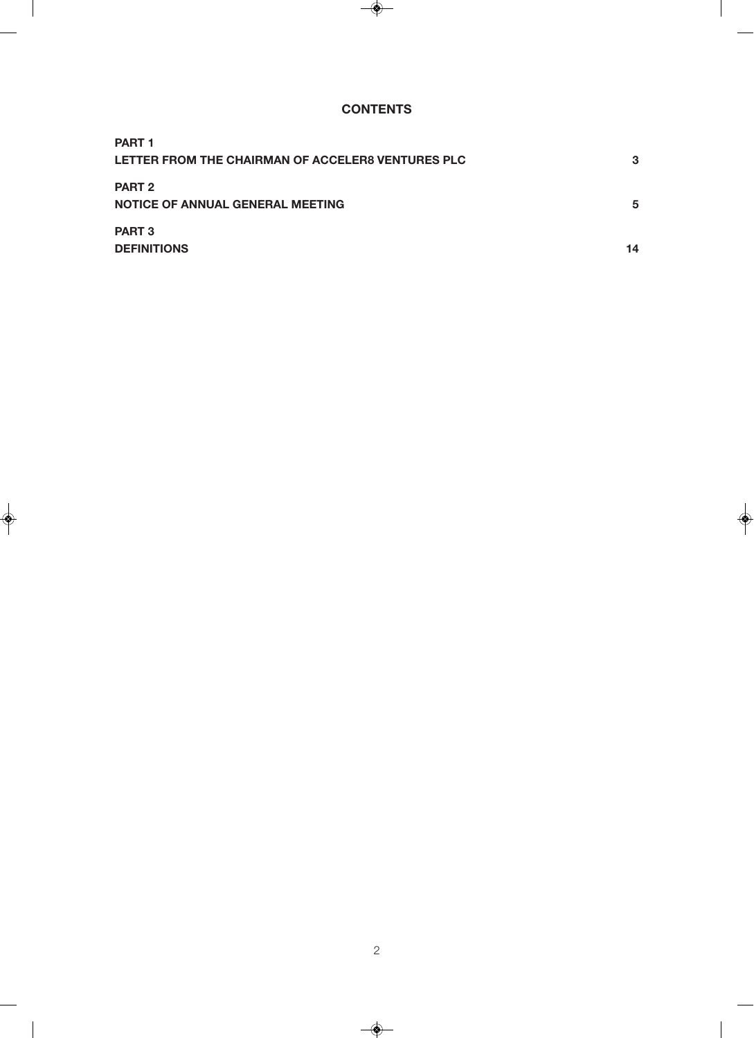## **CONTENTS**

| <b>PART 1</b>                                     |    |
|---------------------------------------------------|----|
| LETTER FROM THE CHAIRMAN OF ACCELER8 VENTURES PLC | 3  |
| <b>PART 2</b>                                     |    |
| <b>NOTICE OF ANNUAL GENERAL MEETING</b>           | 5  |
| <b>PART 3</b>                                     |    |
| <b>DEFINITIONS</b>                                | 14 |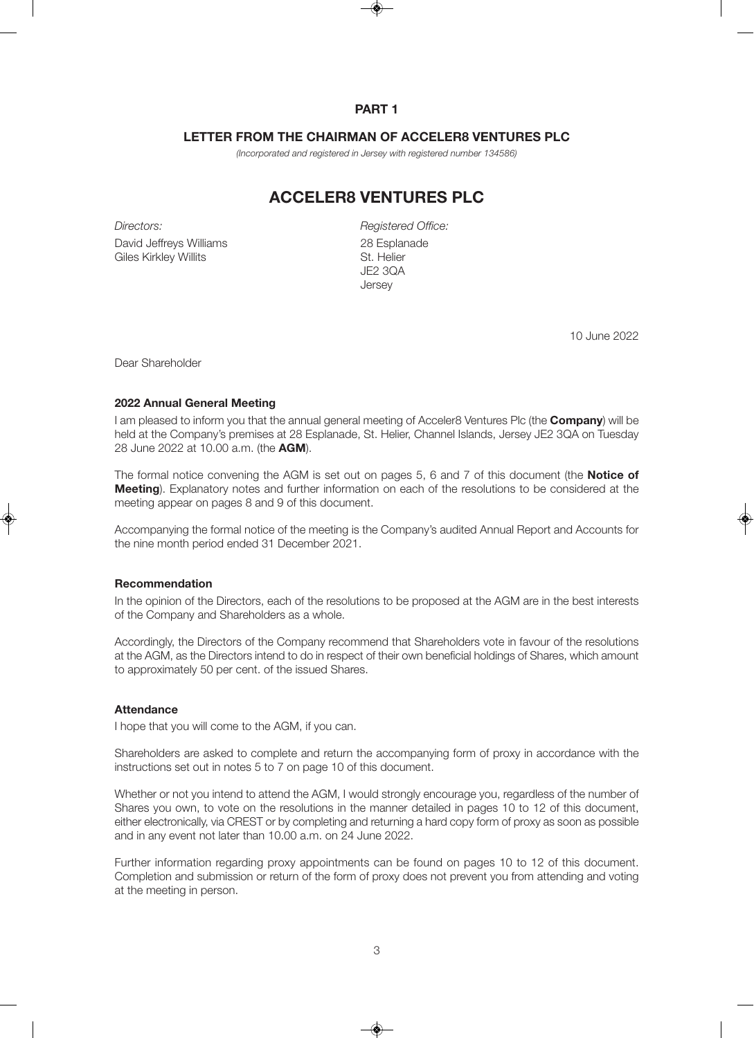## **PART 1**

## **LETTER FROM THE CHAIRMAN OF ACCELER8 VENTURES PLC**

(Incorporated and registered in Jersey with registered number 134586)

# **ACCELER8 VENTURES PLC**

Directors:

David Jeffreys Williams Giles Kirkley Willits

Registered Office: 28 Esplanade St. Helier JE2 3QA **Jersey** 

10 June 2022

Dear Shareholder

#### **2022 Annual General Meeting**

I am pleased to inform you that the annual general meeting of Acceler8 Ventures Plc (the **Company**) will be held at the Company's premises at 28 Esplanade, St. Helier, Channel Islands, Jersey JE2 3QA on Tuesday 28 June 2022 at 10.00 a.m. (the **AGM**).

The formal notice convening the AGM is set out on pages 5, 6 and 7 of this document (the **Notice of Meeting**). Explanatory notes and further information on each of the resolutions to be considered at the meeting appear on pages 8 and 9 of this document.

Accompanying the formal notice of the meeting is the Company's audited Annual Report and Accounts for the nine month period ended 31 December 2021.

#### **Recommendation**

In the opinion of the Directors, each of the resolutions to be proposed at the AGM are in the best interests of the Company and Shareholders as a whole.

Accordingly, the Directors of the Company recommend that Shareholders vote in favour of the resolutions at the AGM, as the Directors intend to do in respect of their own beneficial holdings of Shares, which amount to approximately 50 per cent. of the issued Shares.

### **Attendance**

I hope that you will come to the AGM, if you can.

Shareholders are asked to complete and return the accompanying form of proxy in accordance with the instructions set out in notes 5 to 7 on page 10 of this document.

Whether or not you intend to attend the AGM, I would strongly encourage you, regardless of the number of Shares you own, to vote on the resolutions in the manner detailed in pages 10 to 12 of this document, either electronically, via CREST or by completing and returning a hard copy form of proxy as soon as possible and in any event not later than 10.00 a.m. on 24 June 2022.

Further information regarding proxy appointments can be found on pages 10 to 12 of this document. Completion and submission or return of the form of proxy does not prevent you from attending and voting at the meeting in person.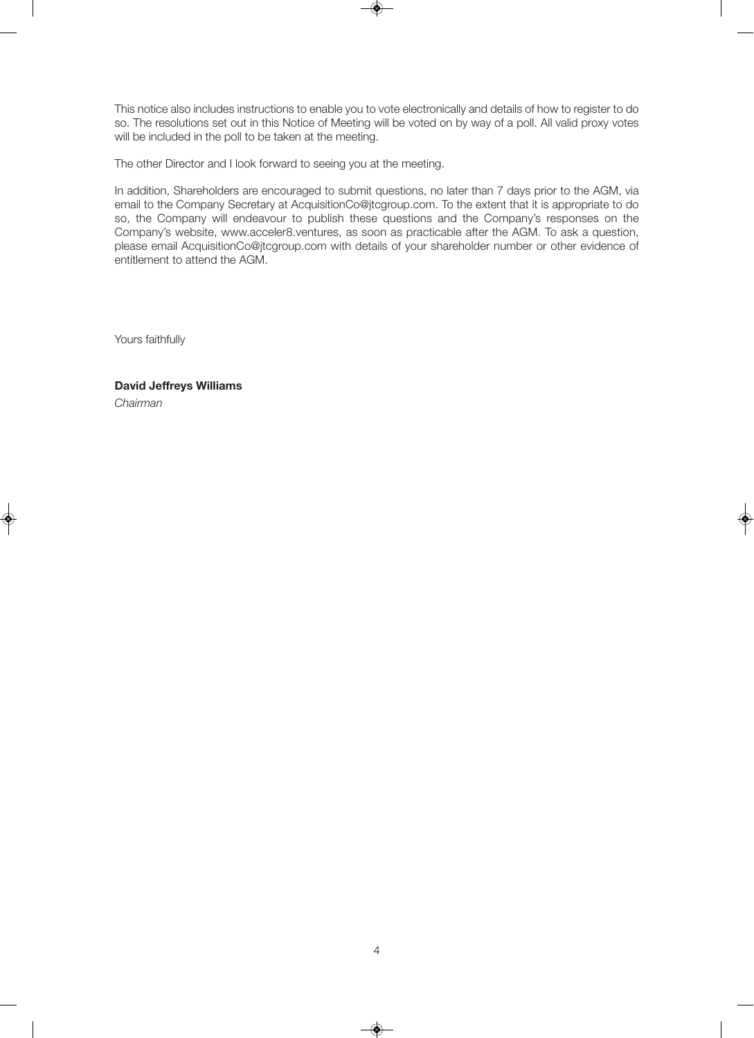This notice also includes instructions to enable you to vote electronically and details of how to register to do so. The resolutions set out in this Notice of Meeting will be voted on by way of a poll. All valid proxy votes will be included in the poll to be taken at the meeting.

The other Director and I look forward to seeing you at the meeting.

In addition, Shareholders are encouraged to submit questions, no later than 7 days prior to the AGM, via email to the Company Secretary at AcquisitionCo@jtcgroup.com. To the extent that it is appropriate to do so, the Company will endeavour to publish these questions and the Company's responses on the Company's website, www.acceler8.ventures, as soon as practicable after the AGM. To ask a question, please email AcquisitionCo@jtcgroup.com with details of your shareholder number or other evidence of entitlement to attend the AGM.

Yours faithfully

## **David Jeffreys Williams**

Chairman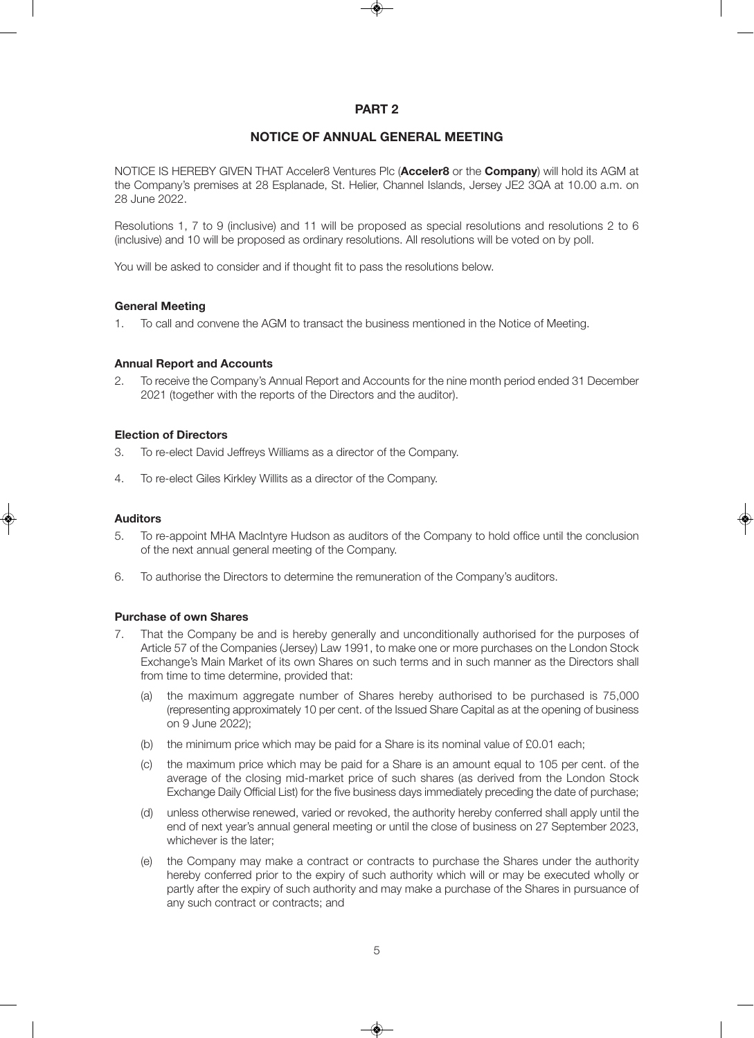## **PART 2**

## **NOTICE OF ANNUAL GENERAL MEETING**

NOTICE IS HEREBY GIVEN THAT Acceler8 Ventures Plc (**Acceler8** or the **Company**) will hold its AGM at the Company's premises at 28 Esplanade, St. Helier, Channel Islands, Jersey JE2 3QA at 10.00 a.m. on 28 June 2022.

Resolutions 1, 7 to 9 (inclusive) and 11 will be proposed as special resolutions and resolutions 2 to 6 (inclusive) and 10 will be proposed as ordinary resolutions. All resolutions will be voted on by poll.

You will be asked to consider and if thought fit to pass the resolutions below.

### **General Meeting**

1. To call and convene the AGM to transact the business mentioned in the Notice of Meeting.

### **Annual Report and Accounts**

2. To receive the Company's Annual Report and Accounts for the nine month period ended 31 December 2021 (together with the reports of the Directors and the auditor).

#### **Election of Directors**

- 3. To re-elect David Jeffreys Williams as a director of the Company.
- 4. To re-elect Giles Kirkley Willits as a director of the Company.

#### **Auditors**

- 5. To re-appoint MHA MacIntyre Hudson as auditors of the Company to hold office until the conclusion of the next annual general meeting of the Company.
- 6. To authorise the Directors to determine the remuneration of the Company's auditors.

### **Purchase of own Shares**

- 7. That the Company be and is hereby generally and unconditionally authorised for the purposes of Article 57 of the Companies (Jersey) Law 1991, to make one or more purchases on the London Stock Exchange's Main Market of its own Shares on such terms and in such manner as the Directors shall from time to time determine, provided that:
	- (a) the maximum aggregate number of Shares hereby authorised to be purchased is 75,000 (representing approximately 10 per cent. of the Issued Share Capital as at the opening of business on 9 June 2022);
	- (b) the minimum price which may be paid for a Share is its nominal value of £0.01 each;
	- (c) the maximum price which may be paid for a Share is an amount equal to 105 per cent. of the average of the closing mid-market price of such shares (as derived from the London Stock Exchange Daily Official List) for the five business days immediately preceding the date of purchase;
	- (d) unless otherwise renewed, varied or revoked, the authority hereby conferred shall apply until the end of next year's annual general meeting or until the close of business on 27 September 2023, whichever is the later:
	- (e) the Company may make a contract or contracts to purchase the Shares under the authority hereby conferred prior to the expiry of such authority which will or may be executed wholly or partly after the expiry of such authority and may make a purchase of the Shares in pursuance of any such contract or contracts; and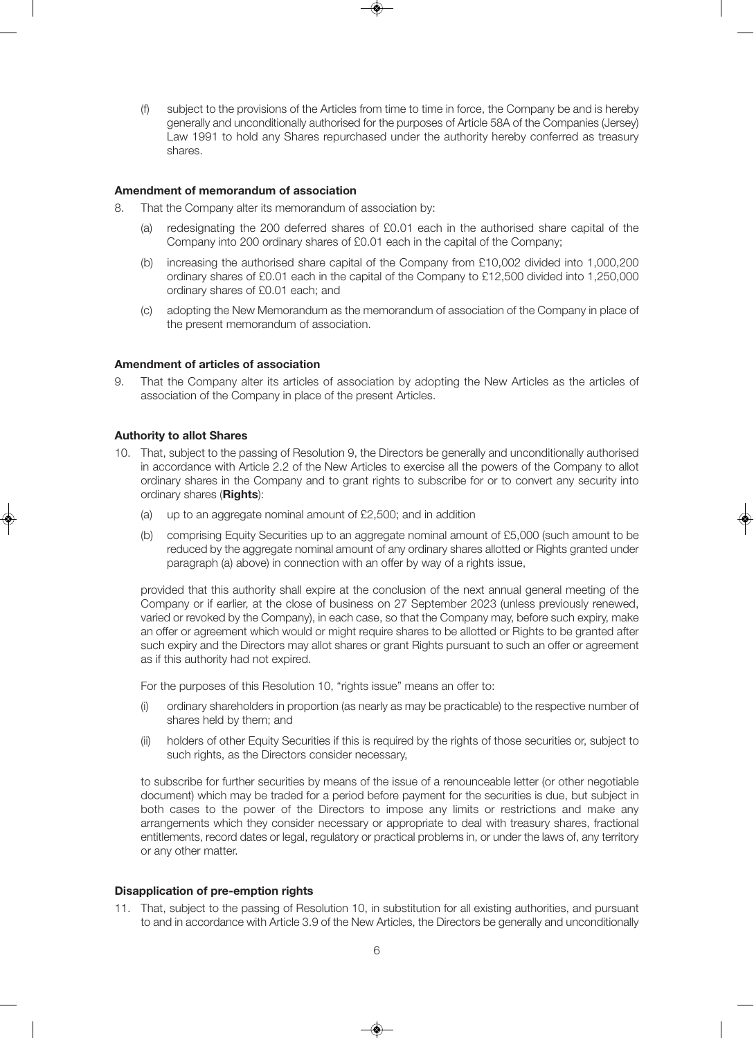(f) subject to the provisions of the Articles from time to time in force, the Company be and is hereby generally and unconditionally authorised for the purposes of Article 58A of the Companies (Jersey) Law 1991 to hold any Shares repurchased under the authority hereby conferred as treasury shares.

#### **Amendment of memorandum of association**

- 8. That the Company alter its memorandum of association by:
	- (a) redesignating the 200 deferred shares of £0.01 each in the authorised share capital of the Company into 200 ordinary shares of £0.01 each in the capital of the Company;
	- (b) increasing the authorised share capital of the Company from £10,002 divided into 1,000,200 ordinary shares of £0.01 each in the capital of the Company to £12,500 divided into 1,250,000 ordinary shares of £0.01 each; and
	- (c) adopting the New Memorandum as the memorandum of association of the Company in place of the present memorandum of association.

#### **Amendment of articles of association**

9. That the Company alter its articles of association by adopting the New Articles as the articles of association of the Company in place of the present Articles.

#### **Authority to allot Shares**

- 10. That, subject to the passing of Resolution 9, the Directors be generally and unconditionally authorised in accordance with Article 2.2 of the New Articles to exercise all the powers of the Company to allot ordinary shares in the Company and to grant rights to subscribe for or to convert any security into ordinary shares (**Rights**):
	- (a) up to an aggregate nominal amount of £2,500; and in addition
	- (b) comprising Equity Securities up to an aggregate nominal amount of £5,000 (such amount to be reduced by the aggregate nominal amount of any ordinary shares allotted or Rights granted under paragraph (a) above) in connection with an offer by way of a rights issue,

provided that this authority shall expire at the conclusion of the next annual general meeting of the Company or if earlier, at the close of business on 27 September 2023 (unless previously renewed, varied or revoked by the Company), in each case, so that the Company may, before such expiry, make an offer or agreement which would or might require shares to be allotted or Rights to be granted after such expiry and the Directors may allot shares or grant Rights pursuant to such an offer or agreement as if this authority had not expired.

For the purposes of this Resolution 10, "rights issue" means an offer to:

- (i) ordinary shareholders in proportion (as nearly as may be practicable) to the respective number of shares held by them; and
- (ii) holders of other Equity Securities if this is required by the rights of those securities or, subject to such rights, as the Directors consider necessary,

to subscribe for further securities by means of the issue of a renounceable letter (or other negotiable document) which may be traded for a period before payment for the securities is due, but subject in both cases to the power of the Directors to impose any limits or restrictions and make any arrangements which they consider necessary or appropriate to deal with treasury shares, fractional entitlements, record dates or legal, regulatory or practical problems in, or under the laws of, any territory or any other matter.

#### **Disapplication of pre-emption rights**

11. That, subject to the passing of Resolution 10, in substitution for all existing authorities, and pursuant to and in accordance with Article 3.9 of the New Articles, the Directors be generally and unconditionally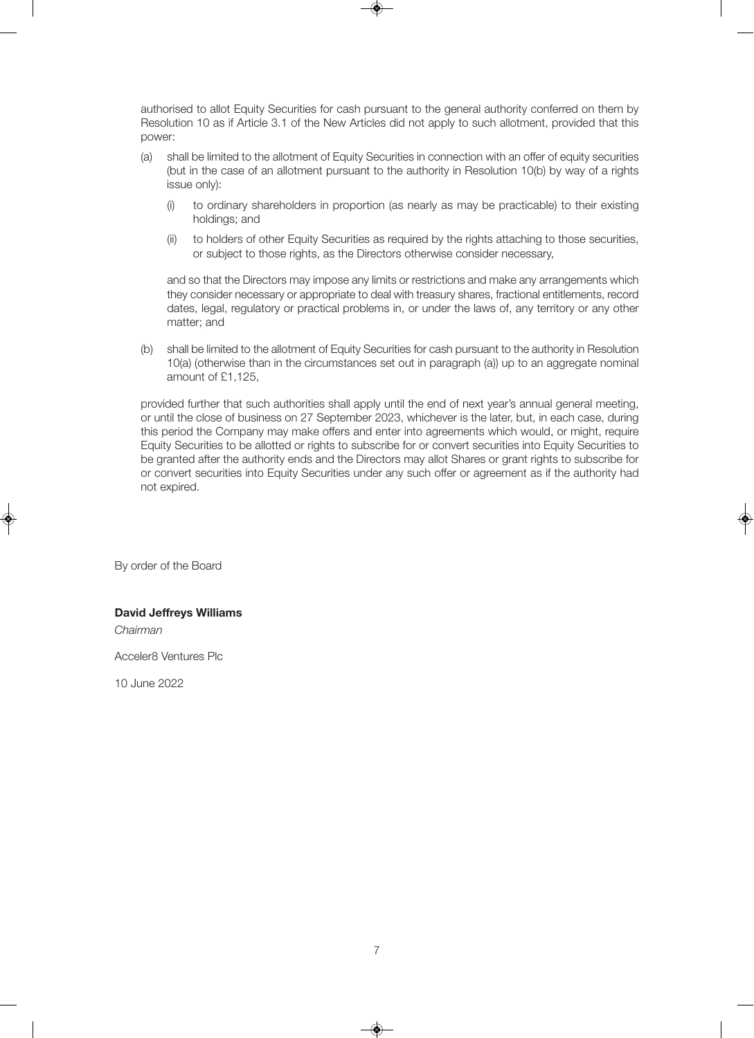authorised to allot Equity Securities for cash pursuant to the general authority conferred on them by Resolution 10 as if Article 3.1 of the New Articles did not apply to such allotment, provided that this power:

- (a) shall be limited to the allotment of Equity Securities in connection with an offer of equity securities (but in the case of an allotment pursuant to the authority in Resolution 10(b) by way of a rights issue only):
	- (i) to ordinary shareholders in proportion (as nearly as may be practicable) to their existing holdings; and
	- (ii) to holders of other Equity Securities as required by the rights attaching to those securities, or subject to those rights, as the Directors otherwise consider necessary,

and so that the Directors may impose any limits or restrictions and make any arrangements which they consider necessary or appropriate to deal with treasury shares, fractional entitlements, record dates, legal, regulatory or practical problems in, or under the laws of, any territory or any other matter; and

(b) shall be limited to the allotment of Equity Securities for cash pursuant to the authority in Resolution 10(a) (otherwise than in the circumstances set out in paragraph (a)) up to an aggregate nominal amount of £1,125,

provided further that such authorities shall apply until the end of next year's annual general meeting, or until the close of business on 27 September 2023, whichever is the later, but, in each case, during this period the Company may make offers and enter into agreements which would, or might, require Equity Securities to be allotted or rights to subscribe for or convert securities into Equity Securities to be granted after the authority ends and the Directors may allot Shares or grant rights to subscribe for or convert securities into Equity Securities under any such offer or agreement as if the authority had not expired.

By order of the Board

### **David Jeffreys Williams**

Chairman

Acceler8 Ventures Plc

10 June 2022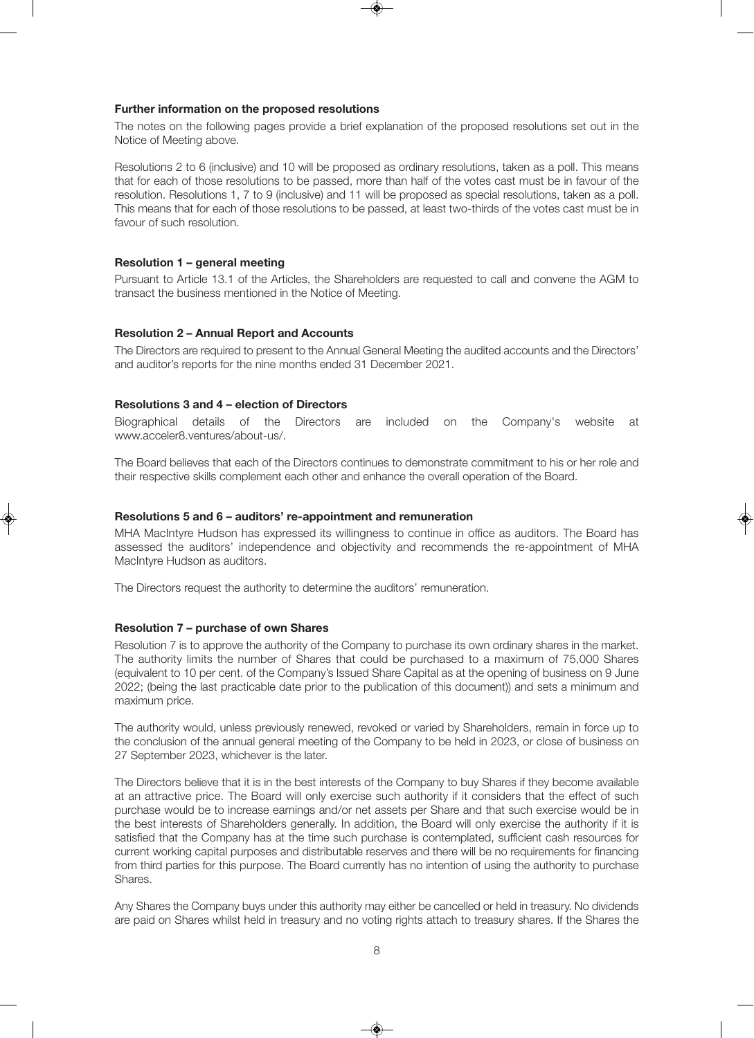#### **Further information on the proposed resolutions**

The notes on the following pages provide a brief explanation of the proposed resolutions set out in the Notice of Meeting above.

Resolutions 2 to 6 (inclusive) and 10 will be proposed as ordinary resolutions, taken as a poll. This means that for each of those resolutions to be passed, more than half of the votes cast must be in favour of the resolution. Resolutions 1, 7 to 9 (inclusive) and 11 will be proposed as special resolutions, taken as a poll. This means that for each of those resolutions to be passed, at least two-thirds of the votes cast must be in favour of such resolution.

#### **Resolution 1 – general meeting**

Pursuant to Article 13.1 of the Articles, the Shareholders are requested to call and convene the AGM to transact the business mentioned in the Notice of Meeting.

#### **Resolution 2 – Annual Report and Accounts**

The Directors are required to present to the Annual General Meeting the audited accounts and the Directors' and auditor's reports for the nine months ended 31 December 2021.

#### **Resolutions 3 and 4 – election of Directors**

Biographical details of the Directors are included on the Company's website at www.acceler8.ventures/about-us/.

The Board believes that each of the Directors continues to demonstrate commitment to his or her role and their respective skills complement each other and enhance the overall operation of the Board.

#### **Resolutions 5 and 6 – auditors' re-appointment and remuneration**

MHA MacIntyre Hudson has expressed its willingness to continue in office as auditors. The Board has assessed the auditors' independence and objectivity and recommends the re-appointment of MHA MacIntyre Hudson as auditors.

The Directors request the authority to determine the auditors' remuneration.

#### **Resolution 7 – purchase of own Shares**

Resolution 7 is to approve the authority of the Company to purchase its own ordinary shares in the market. The authority limits the number of Shares that could be purchased to a maximum of 75,000 Shares (equivalent to 10 per cent. of the Company's Issued Share Capital as at the opening of business on 9 June 2022; (being the last practicable date prior to the publication of this document)) and sets a minimum and maximum price.

The authority would, unless previously renewed, revoked or varied by Shareholders, remain in force up to the conclusion of the annual general meeting of the Company to be held in 2023, or close of business on 27 September 2023, whichever is the later.

The Directors believe that it is in the best interests of the Company to buy Shares if they become available at an attractive price. The Board will only exercise such authority if it considers that the effect of such purchase would be to increase earnings and/or net assets per Share and that such exercise would be in the best interests of Shareholders generally. In addition, the Board will only exercise the authority if it is satisfied that the Company has at the time such purchase is contemplated, sufficient cash resources for current working capital purposes and distributable reserves and there will be no requirements for financing from third parties for this purpose. The Board currently has no intention of using the authority to purchase Shares.

Any Shares the Company buys under this authority may either be cancelled or held in treasury. No dividends are paid on Shares whilst held in treasury and no voting rights attach to treasury shares. If the Shares the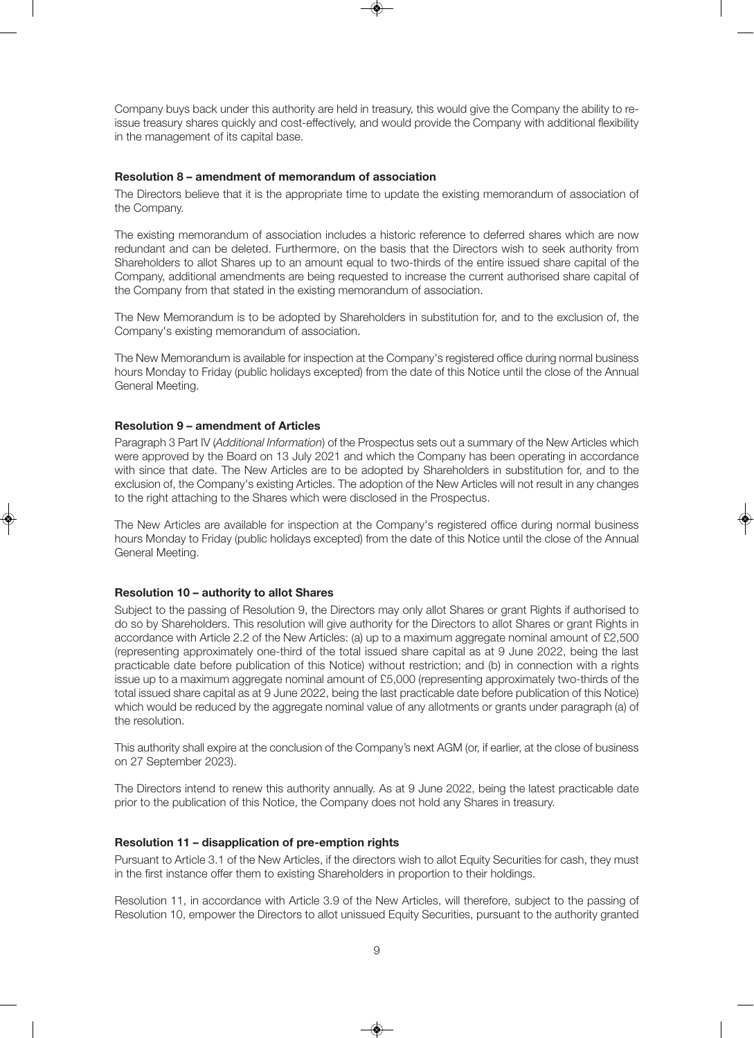Company buys back under this authority are held in treasury, this would give the Company the ability to reissue treasury shares quickly and cost-effectively, and would provide the Company with additional flexibility in the management of its capital base.

#### **Resolution 8 – amendment of memorandum of association**

The Directors believe that it is the appropriate time to update the existing memorandum of association of the Company.

The existing memorandum of association includes a historic reference to deferred shares which are now redundant and can be deleted. Furthermore, on the basis that the Directors wish to seek authority from Shareholders to allot Shares up to an amount equal to two-thirds of the entire issued share capital of the Company, additional amendments are being requested to increase the current authorised share capital of the Company from that stated in the existing memorandum of association.

The New Memorandum is to be adopted by Shareholders in substitution for, and to the exclusion of, the Company's existing memorandum of association.

The New Memorandum is available for inspection at the Company's registered office during normal business hours Monday to Friday (public holidays excepted) from the date of this Notice until the close of the Annual General Meeting.

#### **Resolution 9 – amendment of Articles**

Paragraph 3 Part IV (Additional Information) of the Prospectus sets out a summary of the New Articles which were approved by the Board on 13 July 2021 and which the Company has been operating in accordance with since that date. The New Articles are to be adopted by Shareholders in substitution for, and to the exclusion of, the Company's existing Articles. The adoption of the New Articles will not result in any changes to the right attaching to the Shares which were disclosed in the Prospectus.

The New Articles are available for inspection at the Company's registered office during normal business hours Monday to Friday (public holidays excepted) from the date of this Notice until the close of the Annual General Meeting.

### **Resolution 10 – authority to allot Shares**

Subject to the passing of Resolution 9, the Directors may only allot Shares or grant Rights if authorised to do so by Shareholders. This resolution will give authority for the Directors to allot Shares or grant Rights in accordance with Article 2.2 of the New Articles: (a) up to a maximum aggregate nominal amount of £2,500 (representing approximately one-third of the total issued share capital as at 9 June 2022, being the last practicable date before publication of this Notice) without restriction; and (b) in connection with a rights issue up to a maximum aggregate nominal amount of £5,000 (representing approximately two-thirds of the total issued share capital as at 9 June 2022, being the last practicable date before publication of this Notice) which would be reduced by the aggregate nominal value of any allotments or grants under paragraph (a) of the resolution.

This authority shall expire at the conclusion of the Company's next AGM (or, if earlier, at the close of business on 27 September 2023).

The Directors intend to renew this authority annually. As at 9 June 2022, being the latest practicable date prior to the publication of this Notice, the Company does not hold any Shares in treasury.

#### **Resolution 11 – disapplication of pre-emption rights**

Pursuant to Article 3.1 of the New Articles, if the directors wish to allot Equity Securities for cash, they must in the first instance offer them to existing Shareholders in proportion to their holdings.

Resolution 11, in accordance with Article 3.9 of the New Articles, will therefore, subject to the passing of Resolution 10, empower the Directors to allot unissued Equity Securities, pursuant to the authority granted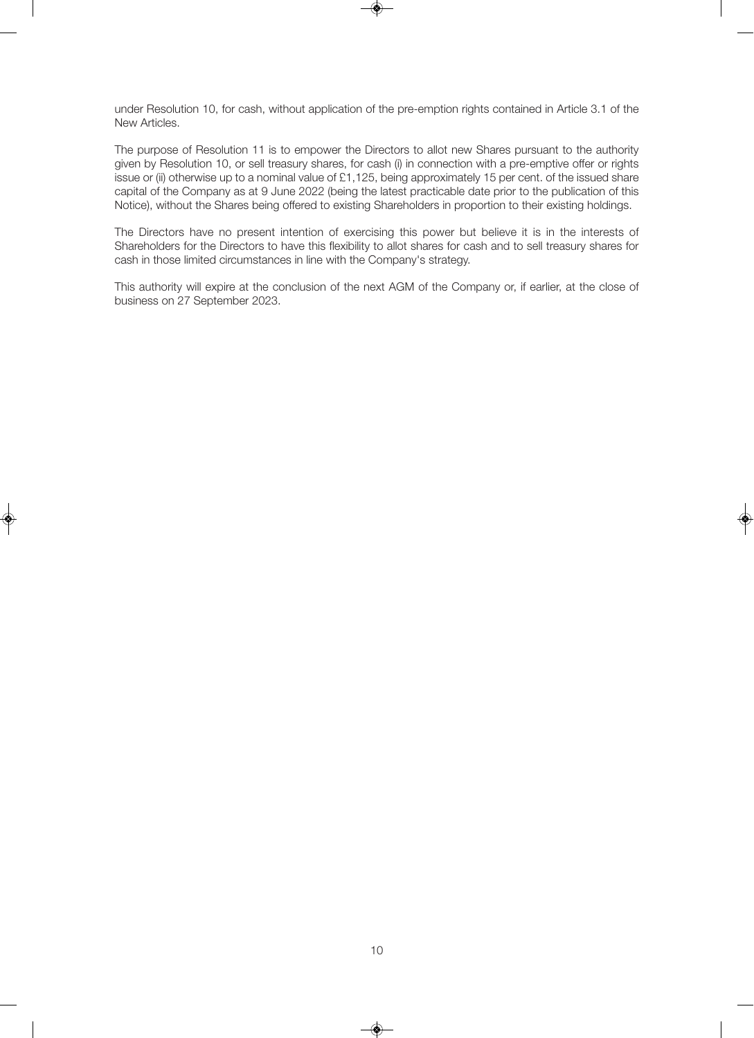under Resolution 10, for cash, without application of the pre-emption rights contained in Article 3.1 of the New Articles.

The purpose of Resolution 11 is to empower the Directors to allot new Shares pursuant to the authority given by Resolution 10, or sell treasury shares, for cash (i) in connection with a pre-emptive offer or rights issue or (ii) otherwise up to a nominal value of £1,125, being approximately 15 per cent. of the issued share capital of the Company as at 9 June 2022 (being the latest practicable date prior to the publication of this Notice), without the Shares being offered to existing Shareholders in proportion to their existing holdings.

The Directors have no present intention of exercising this power but believe it is in the interests of Shareholders for the Directors to have this flexibility to allot shares for cash and to sell treasury shares for cash in those limited circumstances in line with the Company's strategy.

This authority will expire at the conclusion of the next AGM of the Company or, if earlier, at the close of business on 27 September 2023.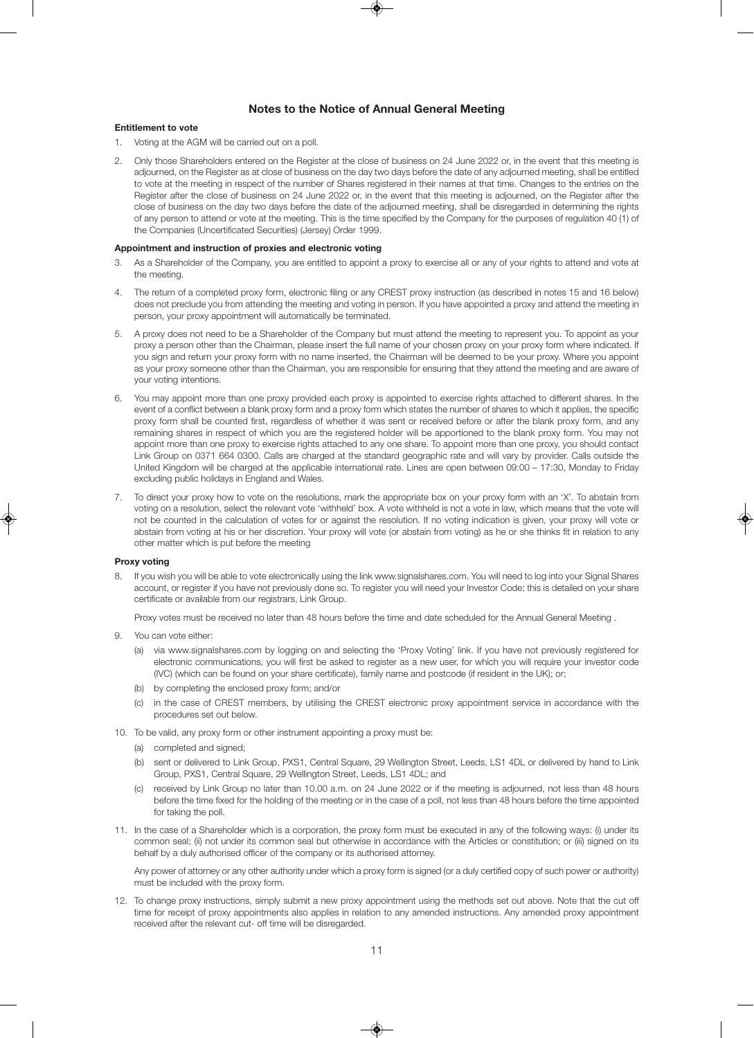#### **Notes to the Notice of Annual General Meeting**

#### **Entitlement to vote**

- 1. Voting at the AGM will be carried out on a poll.
- 2. Only those Shareholders entered on the Register at the close of business on 24 June 2022 or, in the event that this meeting is adjourned, on the Register as at close of business on the day two days before the date of any adjourned meeting, shall be entitled to vote at the meeting in respect of the number of Shares registered in their names at that time. Changes to the entries on the Register after the close of business on 24 June 2022 or, in the event that this meeting is adjourned, on the Register after the close of business on the day two days before the date of the adjourned meeting, shall be disregarded in determining the rights of any person to attend or vote at the meeting. This is the time specified by the Company for the purposes of regulation 40 (1) of the Companies (Uncertificated Securities) (Jersey) Order 1999.

#### **Appointment and instruction of proxies and electronic voting**

- 3. As a Shareholder of the Company, you are entitled to appoint a proxy to exercise all or any of your rights to attend and vote at the meeting.
- 4. The return of a completed proxy form, electronic filing or any CREST proxy instruction (as described in notes 15 and 16 below) does not preclude you from attending the meeting and voting in person. If you have appointed a proxy and attend the meeting in person, your proxy appointment will automatically be terminated.
- 5. A proxy does not need to be a Shareholder of the Company but must attend the meeting to represent you. To appoint as your proxy a person other than the Chairman, please insert the full name of your chosen proxy on your proxy form where indicated. If you sign and return your proxy form with no name inserted, the Chairman will be deemed to be your proxy. Where you appoint as your proxy someone other than the Chairman, you are responsible for ensuring that they attend the meeting and are aware of your voting intentions.
- 6. You may appoint more than one proxy provided each proxy is appointed to exercise rights attached to different shares. In the event of a conflict between a blank proxy form and a proxy form which states the number of shares to which it applies, the specific proxy form shall be counted first, regardless of whether it was sent or received before or after the blank proxy form, and any remaining shares in respect of which you are the registered holder will be apportioned to the blank proxy form. You may not appoint more than one proxy to exercise rights attached to any one share. To appoint more than one proxy, you should contact Link Group on 0371 664 0300. Calls are charged at the standard geographic rate and will vary by provider. Calls outside the United Kingdom will be charged at the applicable international rate. Lines are open between 09:00 – 17:30, Monday to Friday excluding public holidays in England and Wales.
- 7. To direct your proxy how to vote on the resolutions, mark the appropriate box on your proxy form with an 'X'. To abstain from voting on a resolution, select the relevant vote 'withheld' box. A vote withheld is not a vote in law, which means that the vote will not be counted in the calculation of votes for or against the resolution. If no voting indication is given, your proxy will vote or abstain from voting at his or her discretion. Your proxy will vote (or abstain from voting) as he or she thinks fit in relation to any other matter which is put before the meeting

#### **Proxy voting**

8. If you wish you will be able to vote electronically using the link www.signalshares.com. You will need to log into your Signal Shares account, or register if you have not previously done so. To register you will need your Investor Code; this is detailed on your share certificate or available from our registrars, Link Group.

Proxy votes must be received no later than 48 hours before the time and date scheduled for the Annual General Meeting .

- 9. You can vote either:
	- (a) via www.signalshares.com by logging on and selecting the 'Proxy Voting' link. If you have not previously registered for electronic communications, you will first be asked to register as a new user, for which you will require your investor code (IVC) (which can be found on your share certificate), family name and postcode (if resident in the UK); or;
	- (b) by completing the enclosed proxy form; and/or
	- (c) in the case of CREST members, by utilising the CREST electronic proxy appointment service in accordance with the procedures set out below.
- 10. To be valid, any proxy form or other instrument appointing a proxy must be:
	- (a) completed and signed;
	- (b) sent or delivered to Link Group, PXS1, Central Square, 29 Wellington Street, Leeds, LS1 4DL or delivered by hand to Link Group, PXS1, Central Square, 29 Wellington Street, Leeds, LS1 4DL; and
	- (c) received by Link Group no later than 10.00 a.m. on 24 June 2022 or if the meeting is adjourned, not less than 48 hours before the time fixed for the holding of the meeting or in the case of a poll, not less than 48 hours before the time appointed for taking the poll.
- 11. In the case of a Shareholder which is a corporation, the proxy form must be executed in any of the following ways: (i) under its common seal; (ii) not under its common seal but otherwise in accordance with the Articles or constitution; or (iii) signed on its behalf by a duly authorised officer of the company or its authorised attorney.

Any power of attorney or any other authority under which a proxy form is signed (or a duly certified copy of such power or authority) must be included with the proxy form.

12. To change proxy instructions, simply submit a new proxy appointment using the methods set out above. Note that the cut off time for receipt of proxy appointments also applies in relation to any amended instructions. Any amended proxy appointment received after the relevant cut- off time will be disregarded.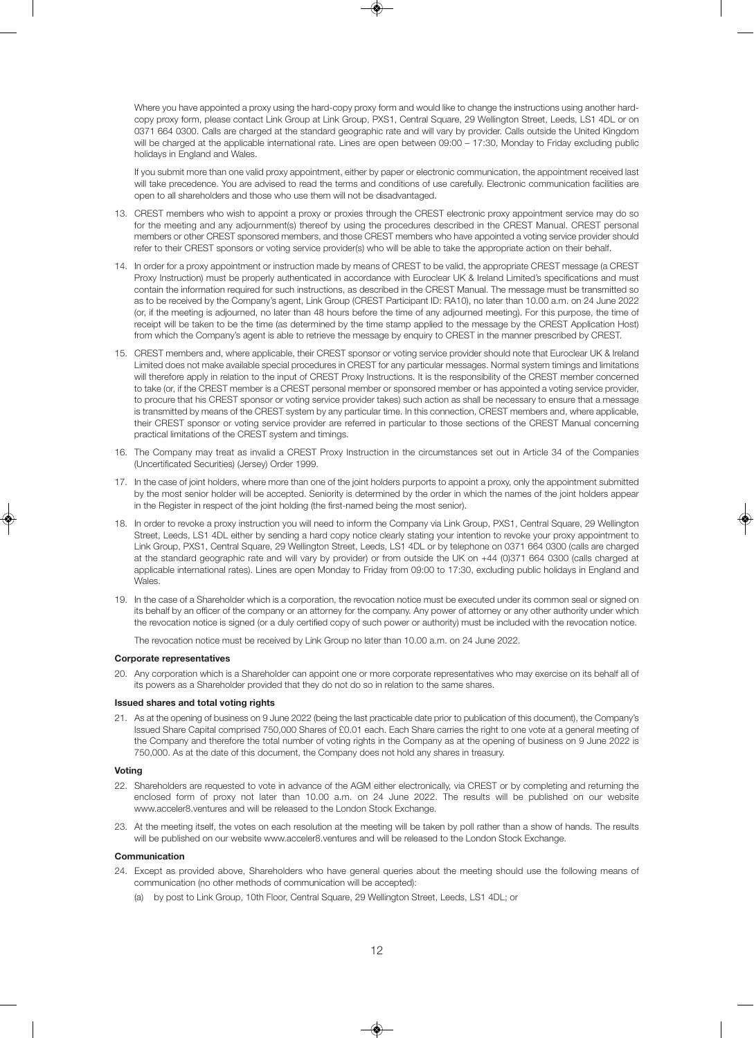Where you have appointed a proxy using the hard-copy proxy form and would like to change the instructions using another hardcopy proxy form, please contact Link Group at Link Group, PXS1, Central Square, 29 Wellington Street, Leeds, LS1 4DL or on 0371 664 0300. Calls are charged at the standard geographic rate and will vary by provider. Calls outside the United Kingdom will be charged at the applicable international rate. Lines are open between 09:00 – 17:30. Monday to Friday excluding public holidays in England and Wales.

If you submit more than one valid proxy appointment, either by paper or electronic communication, the appointment received last will take precedence. You are advised to read the terms and conditions of use carefully. Electronic communication facilities are open to all shareholders and those who use them will not be disadvantaged.

- 13. CREST members who wish to appoint a proxy or proxies through the CREST electronic proxy appointment service may do so for the meeting and any adjournment(s) thereof by using the procedures described in the CREST Manual. CREST personal members or other CREST sponsored members, and those CREST members who have appointed a voting service provider should refer to their CREST sponsors or voting service provider(s) who will be able to take the appropriate action on their behalf.
- 14. In order for a proxy appointment or instruction made by means of CREST to be valid, the appropriate CREST message (a CREST Proxy Instruction) must be properly authenticated in accordance with Euroclear UK & Ireland Limited's specifications and must contain the information required for such instructions, as described in the CREST Manual. The message must be transmitted so as to be received by the Company's agent, Link Group (CREST Participant ID: RA10), no later than 10.00 a.m. on 24 June 2022 (or, if the meeting is adjourned, no later than 48 hours before the time of any adjourned meeting). For this purpose, the time of receipt will be taken to be the time (as determined by the time stamp applied to the message by the CREST Application Host) from which the Company's agent is able to retrieve the message by enquiry to CREST in the manner prescribed by CREST.
- 15. CREST members and, where applicable, their CREST sponsor or voting service provider should note that Euroclear UK & Ireland Limited does not make available special procedures in CREST for any particular messages. Normal system timings and limitations will therefore apply in relation to the input of CREST Proxy Instructions. It is the responsibility of the CREST member concerned to take (or, if the CREST member is a CREST personal member or sponsored member or has appointed a voting service provider, to procure that his CREST sponsor or voting service provider takes) such action as shall be necessary to ensure that a message is transmitted by means of the CREST system by any particular time. In this connection, CREST members and, where applicable, their CREST sponsor or voting service provider are referred in particular to those sections of the CREST Manual concerning practical limitations of the CREST system and timings.
- 16. The Company may treat as invalid a CREST Proxy Instruction in the circumstances set out in Article 34 of the Companies (Uncertificated Securities) (Jersey) Order 1999.
- 17. In the case of joint holders, where more than one of the joint holders purports to appoint a proxy, only the appointment submitted by the most senior holder will be accepted. Seniority is determined by the order in which the names of the joint holders appear in the Register in respect of the joint holding (the first-named being the most senior).
- 18. In order to revoke a proxy instruction you will need to inform the Company via Link Group, PXS1, Central Square, 29 Wellington Street, Leeds, LS1 4DL either by sending a hard copy notice clearly stating your intention to revoke your proxy appointment to Link Group, PXS1, Central Square, 29 Wellington Street, Leeds, LS1 4DL or by telephone on 0371 664 0300 (calls are charged at the standard geographic rate and will vary by provider) or from outside the UK on +44 (0)371 664 0300 (calls charged at applicable international rates). Lines are open Monday to Friday from 09:00 to 17:30, excluding public holidays in England and Wales.
- 19. In the case of a Shareholder which is a corporation, the revocation notice must be executed under its common seal or signed on its behalf by an officer of the company or an attorney for the company. Any power of attorney or any other authority under which the revocation notice is signed (or a duly certified copy of such power or authority) must be included with the revocation notice.

The revocation notice must be received by Link Group no later than 10.00 a.m. on 24 June 2022.

#### **Corporate representatives**

20. Any corporation which is a Shareholder can appoint one or more corporate representatives who may exercise on its behalf all of its powers as a Shareholder provided that they do not do so in relation to the same shares.

#### **Issued shares and total voting rights**

21. As at the opening of business on 9 June 2022 (being the last practicable date prior to publication of this document), the Company's Issued Share Capital comprised 750,000 Shares of £0.01 each. Each Share carries the right to one vote at a general meeting of the Company and therefore the total number of voting rights in the Company as at the opening of business on 9 June 2022 is 750,000. As at the date of this document, the Company does not hold any shares in treasury.

#### **Voting**

- 22. Shareholders are requested to vote in advance of the AGM either electronically, via CREST or by completing and returning the enclosed form of proxy not later than 10.00 a.m. on 24 June 2022. The results will be published on our website www.acceler8.ventures and will be released to the London Stock Exchange.
- 23. At the meeting itself, the votes on each resolution at the meeting will be taken by poll rather than a show of hands. The results will be published on our website www.acceler8.ventures and will be released to the London Stock Exchange.

#### **Communication**

- 24. Except as provided above, Shareholders who have general queries about the meeting should use the following means of communication (no other methods of communication will be accepted):
	- (a) by post to Link Group, 10th Floor, Central Square, 29 Wellington Street, Leeds, LS1 4DL; or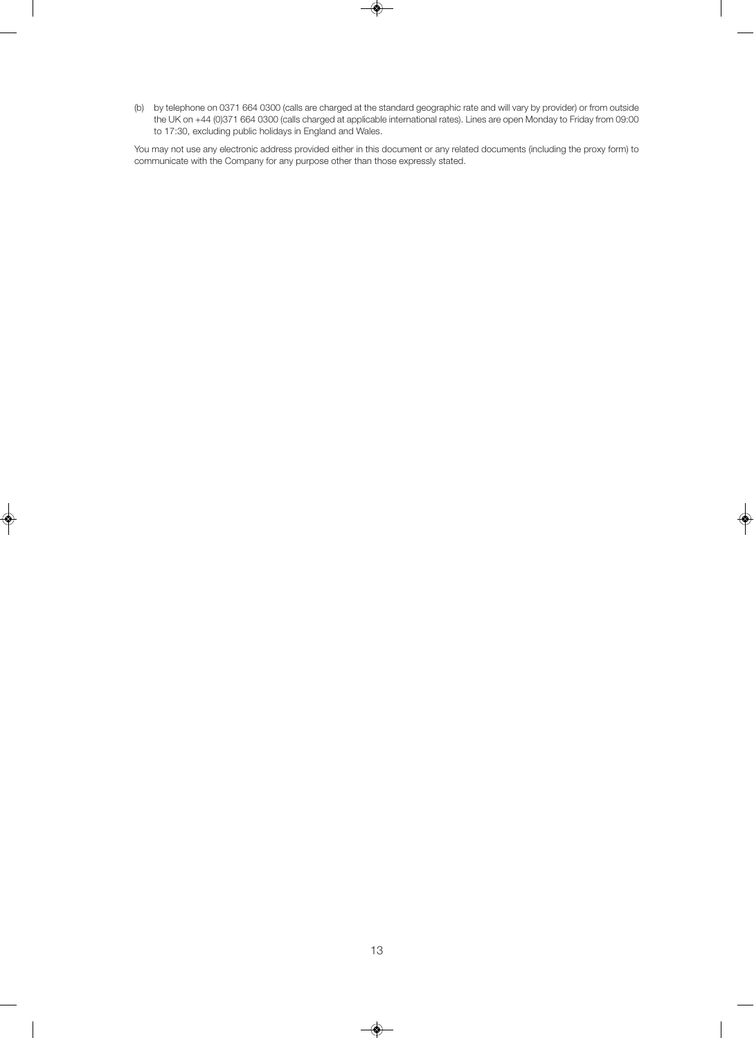(b) by telephone on 0371 664 0300 (calls are charged at the standard geographic rate and will vary by provider) or from outside the UK on +44 (0)371 664 0300 (calls charged at applicable international rates). Lines are open Monday to Friday from 09:00 to 17:30, excluding public holidays in England and Wales.

You may not use any electronic address provided either in this document or any related documents (including the proxy form) to communicate with the Company for any purpose other than those expressly stated.